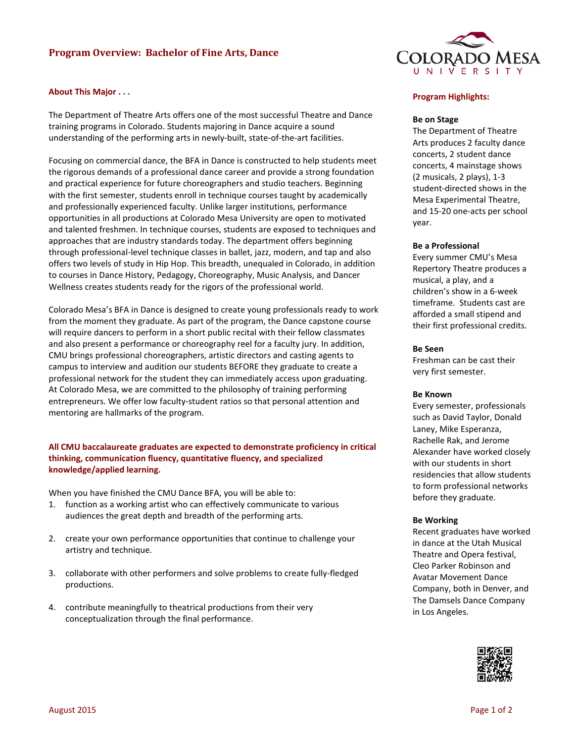# **Program Overview: Bachelor of Fine Arts, Dance**

### **About This Major . . .**

The Department of Theatre Arts offers one of the most successful Theatre and Dance training programs in Colorado. Students majoring in Dance acquire a sound understanding of the performing arts in newly-built, state-of-the-art facilities.

Focusing on commercial dance, the BFA in Dance is constructed to help students meet the rigorous demands of a professional dance career and provide a strong foundation and practical experience for future choreographers and studio teachers. Beginning with the first semester, students enroll in technique courses taught by academically and professionally experienced faculty. Unlike larger institutions, performance opportunities in all productions at Colorado Mesa University are open to motivated and talented freshmen. In technique courses, students are exposed to techniques and approaches that are industry standards today. The department offers beginning through professional-level technique classes in ballet, jazz, modern, and tap and also offers two levels of study in Hip Hop. This breadth, unequaled in Colorado, in addition to courses in Dance History, Pedagogy, Choreography, Music Analysis, and Dancer Wellness creates students ready for the rigors of the professional world.

Colorado Mesa's BFA in Dance is designed to create young professionals ready to work from the moment they graduate. As part of the program, the Dance capstone course will require dancers to perform in a short public recital with their fellow classmates and also present a performance or choreography reel for a faculty jury. In addition, CMU brings professional choreographers, artistic directors and casting agents to campus to interview and audition our students BEFORE they graduate to create a professional network for the student they can immediately access upon graduating. At Colorado Mesa, we are committed to the philosophy of training performing entrepreneurs. We offer low faculty-student ratios so that personal attention and mentoring are hallmarks of the program.

## **All CMU baccalaureate graduates are expected to demonstrate proficiency in critical thinking, communication fluency, quantitative fluency, and specialized knowledge/applied learning.**

When you have finished the CMU Dance BFA, you will be able to:

- 1. function as a working artist who can effectively communicate to various audiences the great depth and breadth of the performing arts.
- 2. create your own performance opportunities that continue to challenge your artistry and technique.
- 3. collaborate with other performers and solve problems to create fully-fledged productions.
- 4. contribute meaningfully to theatrical productions from their very conceptualization through the final performance.



#### **Program Highlights:**

### **Be on Stage**

The Department of Theatre Arts produces 2 faculty dance concerts, 2 student dance concerts, 4 mainstage shows (2 musicals, 2 plays), 1-3 student-directed shows in the Mesa Experimental Theatre, and 15-20 one-acts per school year.

#### **Be a Professional**

Every summer CMU's Mesa Repertory Theatre produces a musical, a play, and a children's show in a 6-week timeframe. Students cast are afforded a small stipend and their first professional credits.

#### **Be Seen**

Freshman can be cast their very first semester.

#### **Be Known**

Every semester, professionals such as David Taylor, Donald Laney, Mike Esperanza, Rachelle Rak, and Jerome Alexander have worked closely with our students in short residencies that allow students to form professional networks before they graduate.

#### **Be Working**

Recent graduates have worked in dance at the Utah Musical Theatre and Opera festival, Cleo Parker Robinson and Avatar Movement Dance Company, both in Denver, and The Damsels Dance Company in Los Angeles.